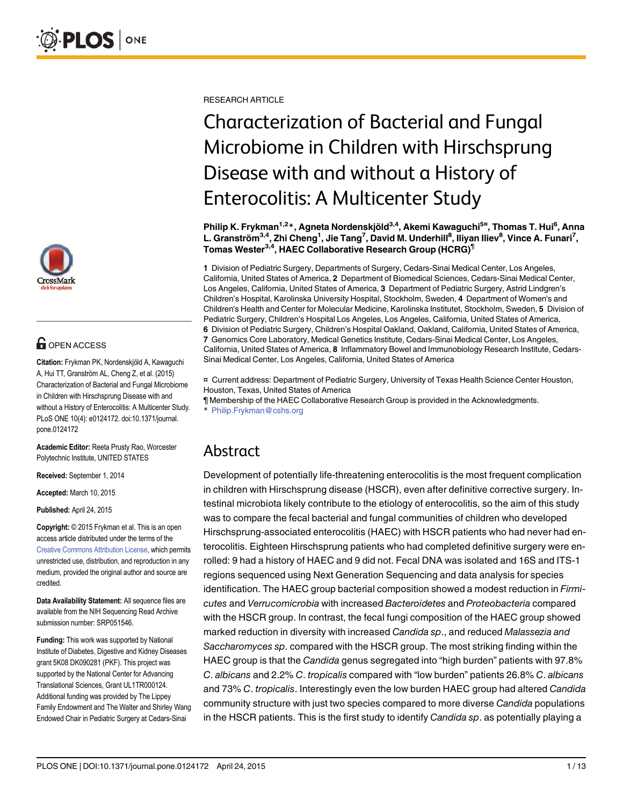

# $\blacksquare$  OPEN ACCESS

Citation: Frykman PK, Nordenskjöld A, Kawaguchi A, Hui TT, Granström AL, Cheng Z, et al. (2015) Characterization of Bacterial and Fungal Microbiome in Children with Hirschsprung Disease with and without a History of Enterocolitis: A Multicenter Study. PLoS ONE 10(4): e0124172. doi:10.1371/journal. pone.0124172

Academic Editor: Reeta Prusty Rao, Worcester Polytechnic Institute, UNITED STATES

Received: September 1, 2014

Accepted: March 10, 2015

Published: April 24, 2015

Copyright: © 2015 Frykman et al. This is an open access article distributed under the terms of the [Creative Commons Attribution License,](http://creativecommons.org/licenses/by/4.0/) which permits unrestricted use, distribution, and reproduction in any medium, provided the original author and source are credited.

Data Availability Statement: All sequence files are available from the NIH Sequencing Read Archive submission number: SRP051546.

Funding: This work was supported by National Institute of Diabetes, Digestive and Kidney Diseases grant 5K08 DK090281 (PKF). This project was supported by the National Center for Advancing Translational Sciences, Grant UL1TR000124. Additional funding was provided by The Lippey Family Endowment and The Walter and Shirley Wang Endowed Chair in Pediatric Surgery at Cedars-Sinai

RESEARCH ARTICLE

# Characterization of Bacterial and Fungal Microbiome in Children with Hirschsprung Disease with and without a History of Enterocolitis: A Multicenter Study

Philip K. Frykman<sup>1,2</sup>\*, Agneta Nordenskjöld<sup>3,4</sup>, Akemi Kawaguchi<sup>5¤</sup>, Thomas T. Hui<sup>6</sup>, Anna L. Granström<sup>3,4</sup>, Zhi Cheng<sup>1</sup>, Jie Tang<sup>7</sup>, David M. Underhill<sup>8</sup>, Iliyan Iliev<sup>8</sup>, Vince A. Funari<sup>7</sup>, Tomas Wester<sup>3,4</sup>, HAEC Collaborative Research Group (HCRG)<sup>1</sup>

1 Division of Pediatric Surgery, Departments of Surgery, Cedars-Sinai Medical Center, Los Angeles, California, United States of America, 2 Department of Biomedical Sciences, Cedars-Sinai Medical Center, Los Angeles, California, United States of America, 3 Department of Pediatric Surgery, Astrid Lindgren's Children's Hospital, Karolinska University Hospital, Stockholm, Sweden, 4 Department of Women's and Children's Health and Center for Molecular Medicine, Karolinska Institutet, Stockholm, Sweden, 5 Division of Pediatric Surgery, Children's Hospital Los Angeles, Los Angeles, California, United States of America, 6 Division of Pediatric Surgery, Children's Hospital Oakland, Oakland, California, United States of America, 7 Genomics Core Laboratory, Medical Genetics Institute, Cedars-Sinai Medical Center, Los Angeles, California, United States of America, 8 Inflammatory Bowel and Immunobiology Research Institute, Cedars-Sinai Medical Center, Los Angeles, California, United States of America

¤ Current address: Department of Pediatric Surgery, University of Texas Health Science Center Houston, Houston, Texas, United States of America

¶ Membership of the HAEC Collaborative Research Group is provided in the Acknowledgments. \* Philip.Frykman@cshs.org

## Abstract

Development of potentially life-threatening enterocolitis is the most frequent complication in children with Hirschsprung disease (HSCR), even after definitive corrective surgery. Intestinal microbiota likely contribute to the etiology of enterocolitis, so the aim of this study was to compare the fecal bacterial and fungal communities of children who developed Hirschsprung-associated enterocolitis (HAEC) with HSCR patients who had never had enterocolitis. Eighteen Hirschsprung patients who had completed definitive surgery were enrolled: 9 had a history of HAEC and 9 did not. Fecal DNA was isolated and 16S and ITS-1 regions sequenced using Next Generation Sequencing and data analysis for species identification. The HAEC group bacterial composition showed a modest reduction in Firmicutes and Verrucomicrobia with increased Bacteroidetes and Proteobacteria compared with the HSCR group. In contrast, the fecal fungi composition of the HAEC group showed marked reduction in diversity with increased Candida sp., and reduced Malassezia and Saccharomyces sp. compared with the HSCR group. The most striking finding within the HAEC group is that the Candida genus segregated into "high burden" patients with 97.8% C. albicans and 2.2% C. tropicalis compared with "low burden" patients 26.8% C. albicans and 73% C. tropicalis. Interestingly even the low burden HAEC group had altered Candida community structure with just two species compared to more diverse Candida populations in the HSCR patients. This is the first study to identify Candida sp. as potentially playing a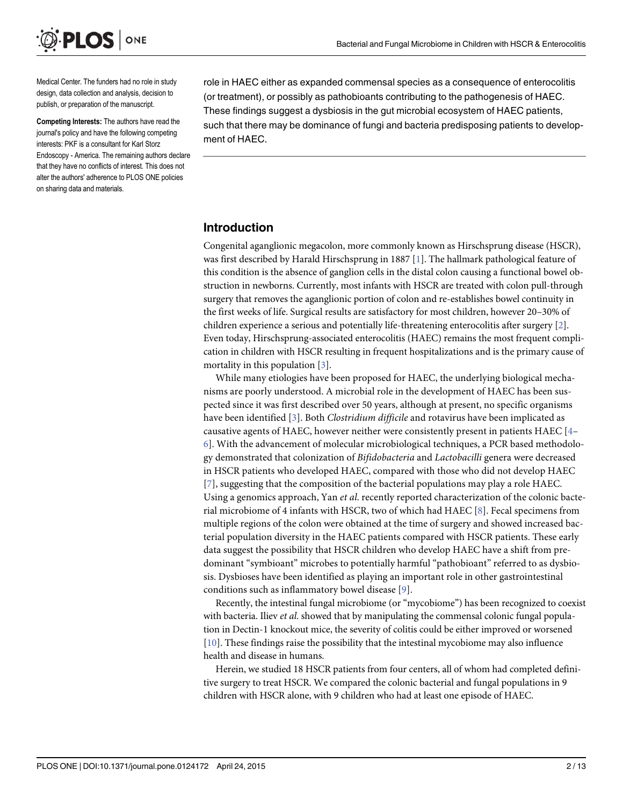<span id="page-1-0"></span>

Medical Center. The funders had no role in study design, data collection and analysis, decision to publish, or preparation of the manuscript.

Competing Interests: The authors have read the journal's policy and have the following competing interests: PKF is a consultant for Karl Storz Endoscopy - America. The remaining authors declare that they have no conflicts of interest. This does not alter the authors' adherence to PLOS ONE policies on sharing data and materials.

role in HAEC either as expanded commensal species as a consequence of enterocolitis (or treatment), or possibly as pathobioants contributing to the pathogenesis of HAEC. These findings suggest a dysbiosis in the gut microbial ecosystem of HAEC patients, such that there may be dominance of fungi and bacteria predisposing patients to development of HAEC.

#### Introduction

Congenital aganglionic megacolon, more commonly known as Hirschsprung disease (HSCR), was first described by Harald Hirschsprung in 1887 [[1\]](#page-11-0). The hallmark pathological feature of this condition is the absence of ganglion cells in the distal colon causing a functional bowel obstruction in newborns. Currently, most infants with HSCR are treated with colon pull-through surgery that removes the aganglionic portion of colon and re-establishes bowel continuity in the first weeks of life. Surgical results are satisfactory for most children, however 20–30% of children experience a serious and potentially life-threatening enterocolitis after surgery [[2\]](#page-11-0). Even today, Hirschsprung-associated enterocolitis (HAEC) remains the most frequent complication in children with HSCR resulting in frequent hospitalizations and is the primary cause of mortality in this population  $[3]$  $[3]$ .

While many etiologies have been proposed for HAEC, the underlying biological mechanisms are poorly understood. A microbial role in the development of HAEC has been suspected since it was first described over 50 years, although at present, no specific organisms have been identified  $[3]$  $[3]$ . Both Clostridium difficile and rotavirus have been implicated as causative agents of HAEC, however neither were consistently present in patients HAEC  $[4 [4-$ [6\]](#page-11-0). With the advancement of molecular microbiological techniques, a PCR based methodology demonstrated that colonization of Bifidobacteria and Lactobacilli genera were decreased in HSCR patients who developed HAEC, compared with those who did not develop HAEC  $[7]$  $[7]$  $[7]$ , suggesting that the composition of the bacterial populations may play a role HAEC. Using a genomics approach, Yan et al. recently reported characterization of the colonic bacterial microbiome of 4 infants with HSCR, two of which had HAEC [[8\]](#page-11-0). Fecal specimens from multiple regions of the colon were obtained at the time of surgery and showed increased bacterial population diversity in the HAEC patients compared with HSCR patients. These early data suggest the possibility that HSCR children who develop HAEC have a shift from predominant "symbioant" microbes to potentially harmful "pathobioant" referred to as dysbiosis. Dysbioses have been identified as playing an important role in other gastrointestinal conditions such as inflammatory bowel disease [[9\]](#page-11-0).

Recently, the intestinal fungal microbiome (or "mycobiome") has been recognized to coexist with bacteria. Iliev et al. showed that by manipulating the commensal colonic fungal population in Dectin-1 knockout mice, the severity of colitis could be either improved or worsened [\[10](#page-12-0)]. These findings raise the possibility that the intestinal mycobiome may also influence health and disease in humans.

Herein, we studied 18 HSCR patients from four centers, all of whom had completed definitive surgery to treat HSCR. We compared the colonic bacterial and fungal populations in 9 children with HSCR alone, with 9 children who had at least one episode of HAEC.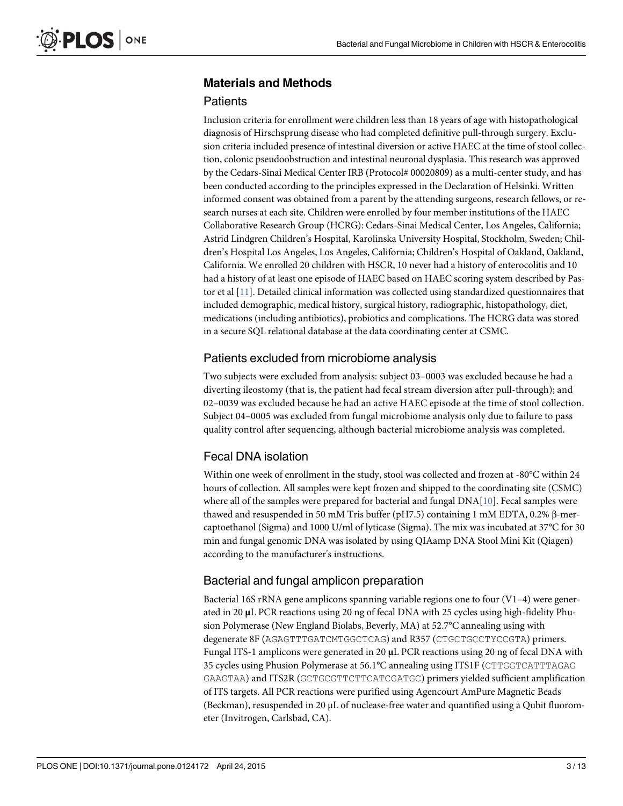## <span id="page-2-0"></span>Materials and Methods

## **Patients**

Inclusion criteria for enrollment were children less than 18 years of age with histopathological diagnosis of Hirschsprung disease who had completed definitive pull-through surgery. Exclusion criteria included presence of intestinal diversion or active HAEC at the time of stool collection, colonic pseudoobstruction and intestinal neuronal dysplasia. This research was approved by the Cedars-Sinai Medical Center IRB (Protocol# 00020809) as a multi-center study, and has been conducted according to the principles expressed in the Declaration of Helsinki. Written informed consent was obtained from a parent by the attending surgeons, research fellows, or research nurses at each site. Children were enrolled by four member institutions of the HAEC Collaborative Research Group (HCRG): Cedars-Sinai Medical Center, Los Angeles, California; Astrid Lindgren Children's Hospital, Karolinska University Hospital, Stockholm, Sweden; Children's Hospital Los Angeles, Los Angeles, California; Children's Hospital of Oakland, Oakland, California. We enrolled 20 children with HSCR, 10 never had a history of enterocolitis and 10 had a history of at least one episode of HAEC based on HAEC scoring system described by Pastor et al [[11](#page-12-0)]. Detailed clinical information was collected using standardized questionnaires that included demographic, medical history, surgical history, radiographic, histopathology, diet, medications (including antibiotics), probiotics and complications. The HCRG data was stored in a secure SQL relational database at the data coordinating center at CSMC.

## Patients excluded from microbiome analysis

Two subjects were excluded from analysis: subject 03–0003 was excluded because he had a diverting ileostomy (that is, the patient had fecal stream diversion after pull-through); and 02–0039 was excluded because he had an active HAEC episode at the time of stool collection. Subject 04–0005 was excluded from fungal microbiome analysis only due to failure to pass quality control after sequencing, although bacterial microbiome analysis was completed.

## Fecal DNA isolation

Within one week of enrollment in the study, stool was collected and frozen at -80°C within 24 hours of collection. All samples were kept frozen and shipped to the coordinating site (CSMC) where all of the samples were prepared for bacterial and fungal DNA[[10](#page-12-0)]. Fecal samples were thawed and resuspended in 50 mM Tris buffer (pH7.5) containing 1 mM EDTA, 0.2% β-mercaptoethanol (Sigma) and 1000 U/ml of lyticase (Sigma). The mix was incubated at 37°C for 30 min and fungal genomic DNA was isolated by using QIAamp DNA Stool Mini Kit (Qiagen) according to the manufacturer's instructions.

## Bacterial and fungal amplicon preparation

Bacterial 16S rRNA gene amplicons spanning variable regions one to four (V1–4) were generated in 20 μL PCR reactions using 20 ng of fecal DNA with 25 cycles using high-fidelity Phusion Polymerase (New England Biolabs, Beverly, MA) at 52.7°C annealing using with degenerate 8F (AGAGTTTGATCMTGGCTCAG) and R357 (CTGCTGCCTYCCGTA) primers. Fungal ITS-1 amplicons were generated in 20 μL PCR reactions using 20 ng of fecal DNA with 35 cycles using Phusion Polymerase at 56.1°C annealing using ITS1F (CTTGGTCATTTAGAG GAAGTAA) and ITS2R (GCTGCGTTCTTCATCGATGC) primers yielded sufficient amplification of ITS targets. All PCR reactions were purified using Agencourt AmPure Magnetic Beads (Beckman), resuspended in 20 μL of nuclease-free water and quantified using a Qubit fluorometer (Invitrogen, Carlsbad, CA).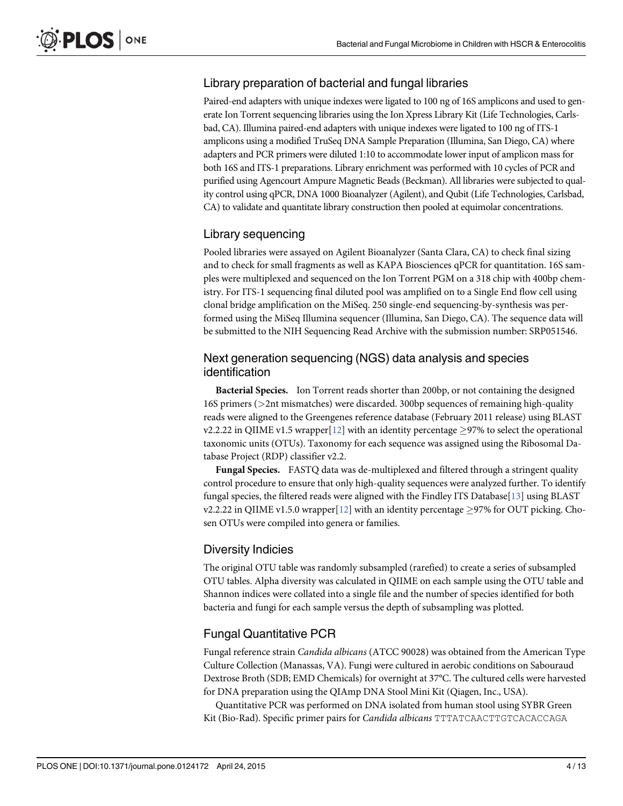## <span id="page-3-0"></span>Library preparation of bacterial and fungal libraries

Paired-end adapters with unique indexes were ligated to 100 ng of 16S amplicons and used to generate Ion Torrent sequencing libraries using the Ion Xpress Library Kit (Life Technologies, Carlsbad, CA). Illumina paired-end adapters with unique indexes were ligated to 100 ng of ITS-1 amplicons using a modified TruSeq DNA Sample Preparation (Illumina, San Diego, CA) where adapters and PCR primers were diluted 1:10 to accommodate lower input of amplicon mass for both 16S and ITS-1 preparations. Library enrichment was performed with 10 cycles of PCR and purified using Agencourt Ampure Magnetic Beads (Beckman). All libraries were subjected to quality control using qPCR, DNA 1000 Bioanalyzer (Agilent), and Qubit (Life Technologies, Carlsbad, CA) to validate and quantitate library construction then pooled at equimolar concentrations.

## Library sequencing

Pooled libraries were assayed on Agilent Bioanalyzer (Santa Clara, CA) to check final sizing and to check for small fragments as well as KAPA Biosciences qPCR for quantitation. 16S samples were multiplexed and sequenced on the Ion Torrent PGM on a 318 chip with 400bp chemistry. For ITS-1 sequencing final diluted pool was amplified on to a Single End flow cell using clonal bridge amplification on the MiSeq. 250 single-end sequencing-by-synthesis was performed using the MiSeq Illumina sequencer (Illumina, San Diego, CA). The sequence data will be submitted to the NIH Sequencing Read Archive with the submission number: SRP051546.

### Next generation sequencing (NGS) data analysis and species identification

Bacterial Species. Ion Torrent reads shorter than 200bp, or not containing the designed 16S primers (>2nt mismatches) were discarded. 300bp sequences of remaining high-quality reads were aligned to the Greengenes reference database (February 2011 release) using BLAST v2.2.22 in QIIME v1.5 wrapper[\[12](#page-12-0)] with an identity percentage  $\geq$ 97% to select the operational taxonomic units (OTUs). Taxonomy for each sequence was assigned using the Ribosomal Database Project (RDP) classifier v2.2.

Fungal Species. FASTQ data was de-multiplexed and filtered through a stringent quality control procedure to ensure that only high-quality sequences were analyzed further. To identify fungal species, the filtered reads were aligned with the Findley ITS Database[\[13\]](#page-12-0) using BLAST v2.2.22 in QIIME v1.5.0 wrapper[\[12\]](#page-12-0) with an identity percentage  $\geq$ 97% for OUT picking. Chosen OTUs were compiled into genera or families.

## Diversity Indicies

The original OTU table was randomly subsampled (rarefied) to create a series of subsampled OTU tables. Alpha diversity was calculated in QIIME on each sample using the OTU table and Shannon indices were collated into a single file and the number of species identified for both bacteria and fungi for each sample versus the depth of subsampling was plotted.

## Fungal Quantitative PCR

Fungal reference strain Candida albicans (ATCC 90028) was obtained from the American Type Culture Collection (Manassas, VA). Fungi were cultured in aerobic conditions on Sabouraud Dextrose Broth (SDB; EMD Chemicals) for overnight at 37°C. The cultured cells were harvested for DNA preparation using the QIAmp DNA Stool Mini Kit (Qiagen, Inc., USA).

Quantitative PCR was performed on DNA isolated from human stool using SYBR Green Kit (Bio-Rad). Specific primer pairs for Candida albicans TTTATCAACTTGTCACACCAGA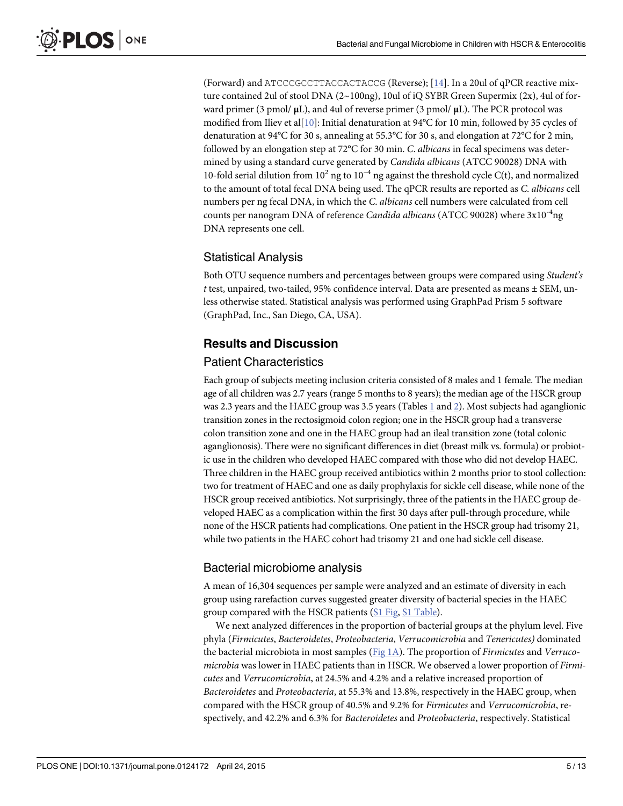<span id="page-4-0"></span>(Forward) and ATCCCGCCTTACCACTACCG (Reverse); [[14](#page-12-0)]. In a 20ul of qPCR reactive mixture contained 2ul of stool DNA (2~100ng), 10ul of iQ SYBR Green Supermix (2x), 4ul of forward primer (3 pmol/ $\mu$ L), and 4ul of reverse primer (3 pmol/ $\mu$ L). The PCR protocol was modified from Iliev et al[\[10\]](#page-12-0): Initial denaturation at 94°C for 10 min, followed by 35 cycles of denaturation at 94°C for 30 s, annealing at 55.3°C for 30 s, and elongation at 72°C for 2 min, followed by an elongation step at 72°C for 30 min. C. albicans in fecal specimens was determined by using a standard curve generated by Candida albicans (ATCC 90028) DNA with 10-fold serial dilution from  $10^2$  ng to  $10^{-4}$  ng against the threshold cycle C(t), and normalized to the amount of total fecal DNA being used. The qPCR results are reported as C. albicans cell numbers per ng fecal DNA, in which the C. albicans cell numbers were calculated from cell counts per nanogram DNA of reference Candida albicans (ATCC 90028) where  $3x10^{-4}$ ng DNA represents one cell.

#### Statistical Analysis

Both OTU sequence numbers and percentages between groups were compared using Student's t test, unpaired, two-tailed, 95% confidence interval. Data are presented as means ± SEM, unless otherwise stated. Statistical analysis was performed using GraphPad Prism 5 software (GraphPad, Inc., San Diego, CA, USA).

#### Results and Discussion

#### Patient Characteristics

Each group of subjects meeting inclusion criteria consisted of 8 males and 1 female. The median age of all children was 2.7 years (range 5 months to 8 years); the median age of the HSCR group was 2.3 years and the HAEC group was 3.5 years (Tables  $1$  and  $2$ ). Most subjects had aganglionic transition zones in the rectosigmoid colon region; one in the HSCR group had a transverse colon transition zone and one in the HAEC group had an ileal transition zone (total colonic aganglionosis). There were no significant differences in diet (breast milk vs. formula) or probiotic use in the children who developed HAEC compared with those who did not develop HAEC. Three children in the HAEC group received antibiotics within 2 months prior to stool collection: two for treatment of HAEC and one as daily prophylaxis for sickle cell disease, while none of the HSCR group received antibiotics. Not surprisingly, three of the patients in the HAEC group developed HAEC as a complication within the first 30 days after pull-through procedure, while none of the HSCR patients had complications. One patient in the HSCR group had trisomy 21, while two patients in the HAEC cohort had trisomy 21 and one had sickle cell disease.

#### Bacterial microbiome analysis

A mean of 16,304 sequences per sample were analyzed and an estimate of diversity in each group using rarefaction curves suggested greater diversity of bacterial species in the HAEC group compared with the HSCR patients [\(S1 Fig](#page-10-0), [S1 Table](#page-11-0)).

We next analyzed differences in the proportion of bacterial groups at the phylum level. Five phyla (Firmicutes, Bacteroidetes, Proteobacteria, Verrucomicrobia and Tenericutes) dominated the bacterial microbiota in most samples (Fig  $1A$ ). The proportion of *Firmicutes* and *Verruco*microbia was lower in HAEC patients than in HSCR. We observed a lower proportion of Firmicutes and Verrucomicrobia, at 24.5% and 4.2% and a relative increased proportion of Bacteroidetes and Proteobacteria, at 55.3% and 13.8%, respectively in the HAEC group, when compared with the HSCR group of 40.5% and 9.2% for Firmicutes and Verrucomicrobia, respectively, and 42.2% and 6.3% for Bacteroidetes and Proteobacteria, respectively. Statistical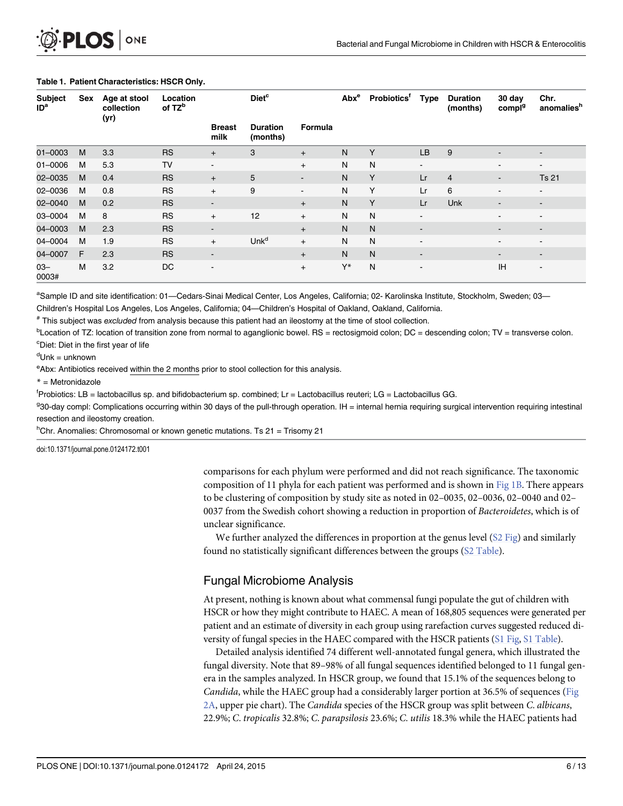<span id="page-5-0"></span>

| <b>Subject</b><br>ID <sup>a</sup> | Sex | Age at stool<br>collection<br>(yr) | Location<br>of TZ <sup>b</sup> |                          | <b>Diet<sup>c</sup></b>     |                | $\mathsf{Abx}^\mathsf{e}$ | Probiotics <sup>t</sup> | Type                     | <b>Duration</b><br>(months) | 30 day<br>compl <sup>g</sup> | Chr.<br>anomalies <sup>h</sup> |
|-----------------------------------|-----|------------------------------------|--------------------------------|--------------------------|-----------------------------|----------------|---------------------------|-------------------------|--------------------------|-----------------------------|------------------------------|--------------------------------|
|                                   |     |                                    |                                | <b>Breast</b><br>milk    | <b>Duration</b><br>(months) | Formula        |                           |                         |                          |                             |                              |                                |
| 01-0003                           | M   | 3.3                                | <b>RS</b>                      | $+$                      | 3                           | $+$            | N                         | Y                       | LB                       | 9                           | $\blacksquare$               | $\overline{\phantom{a}}$       |
| $01 - 0006$                       | M   | 5.3                                | <b>TV</b>                      | $\overline{\phantom{a}}$ |                             | $+$            | N                         | N                       | $\blacksquare$           |                             |                              | $\blacksquare$                 |
| 02-0035                           | M   | 0.4                                | <b>RS</b>                      | $+$                      | 5                           | $\blacksquare$ | N                         | Y                       | Lr                       | $\overline{4}$              | $\blacksquare$               | <b>Ts 21</b>                   |
| 02-0036                           | M   | 0.8                                | <b>RS</b>                      | $+$                      | 9                           | $\blacksquare$ | N                         | Y                       | Lr                       | 6                           |                              | $\blacksquare$                 |
| 02-0040                           | M   | 0.2                                | <b>RS</b>                      | ۰.                       |                             | $+$            | N                         | Y                       | Lr                       | Unk                         | $\blacksquare$               | $\overline{\phantom{a}}$       |
| 03-0004                           | M   | 8                                  | <b>RS</b>                      | $+$                      | 12                          | $+$            | N                         | N                       | $\blacksquare$           |                             |                              | $\blacksquare$                 |
| 04-0003                           | M   | 2.3                                | <b>RS</b>                      | $\blacksquare$           |                             | $+$            | N <sub>1</sub>            | $\mathsf{N}$            | $\blacksquare$           |                             |                              | $\overline{\phantom{a}}$       |
| 04-0004                           | M   | 1.9                                | <b>RS</b>                      | $+$                      | Unk <sup>d</sup>            | $+$            | N                         | N                       | $\blacksquare$           |                             |                              | $\overline{\phantom{a}}$       |
| 04-0007                           | F.  | 2.3                                | <b>RS</b>                      | $\blacksquare$           |                             | $+$            | N                         | N                       | $\blacksquare$           |                             | $\blacksquare$               | $\overline{\phantom{a}}$       |
| $03 -$<br>0003#                   | M   | 3.2                                | DC                             | -                        |                             | $\ddot{}$      | Y*                        | $\mathsf{N}$            | $\overline{\phantom{a}}$ |                             | <b>IH</b>                    | $\blacksquare$                 |

#### [Table 1.](#page-4-0) Patient Characteristics: HSCR Only.

a<br>Sample ID and site identification: 01—Cedars-Sinai Medical Center, Los Angeles, California; 02- Karolinska Institute, Stockholm, Sweden; 03—

Children's Hospital Los Angeles, Los Angeles, California; 04—Children's Hospital of Oakland, Oakland, California.

# This subject was excluded from analysis because this patient had an ileostomy at the time of stool collection.

<sup>b</sup>Location of TZ: location of transition zone from normal to aganglionic bowel. RS = rectosigmoid colon; DC = descending colon; TV = transverse colon. <sup>c</sup>Diet: Diet in the first year of life

<sup>d</sup>Unk = unknown

eAbx: Antibiotics received within the 2 months prior to stool collection for this analysis.

\* = Metronidazole

f Probiotics: LB = lactobacillus sp. and bifidobacterium sp. combined; Lr = Lactobacillus reuteri; LG = Lactobacillus GG.

930-day compl: Complications occurring within 30 days of the pull-through operation. IH = internal hernia requiring surgical intervention requiring intestinal resection and ileostomy creation.

<sup>h</sup>Chr. Anomalies: Chromosomal or known genetic mutations. Ts 21 = Trisomy 21

doi:10.1371/journal.pone.0124172.t001

comparisons for each phylum were performed and did not reach significance. The taxonomic composition of 11 phyla for each patient was performed and is shown in [Fig 1B](#page-7-0). There appears to be clustering of composition by study site as noted in 02–0035, 02–0036, 02–0040 and 02– 0037 from the Swedish cohort showing a reduction in proportion of Bacteroidetes, which is of unclear significance.

We further analyzed the differences in proportion at the genus level  $(S2$  Fig) and similarly found no statistically significant differences between the groups [\(S2 Table](#page-11-0)).

## Fungal Microbiome Analysis

At present, nothing is known about what commensal fungi populate the gut of children with HSCR or how they might contribute to HAEC. A mean of 168,805 sequences were generated per patient and an estimate of diversity in each group using rarefaction curves suggested reduced diversity of fungal species in the HAEC compared with the HSCR patients [\(S1 Fig](#page-10-0), [S1 Table\)](#page-11-0).

Detailed analysis identified 74 different well-annotated fungal genera, which illustrated the fungal diversity. Note that 89–98% of all fungal sequences identified belonged to 11 fungal genera in the samples analyzed. In HSCR group, we found that 15.1% of the sequences belong to Candida, while the HAEC group had a considerably larger portion at 36.5% of sequences [\(Fig](#page-8-0) [2A,](#page-8-0) upper pie chart). The Candida species of the HSCR group was split between C. albicans, 22.9%; C. tropicalis 32.8%; C. parapsilosis 23.6%; C. utilis 18.3% while the HAEC patients had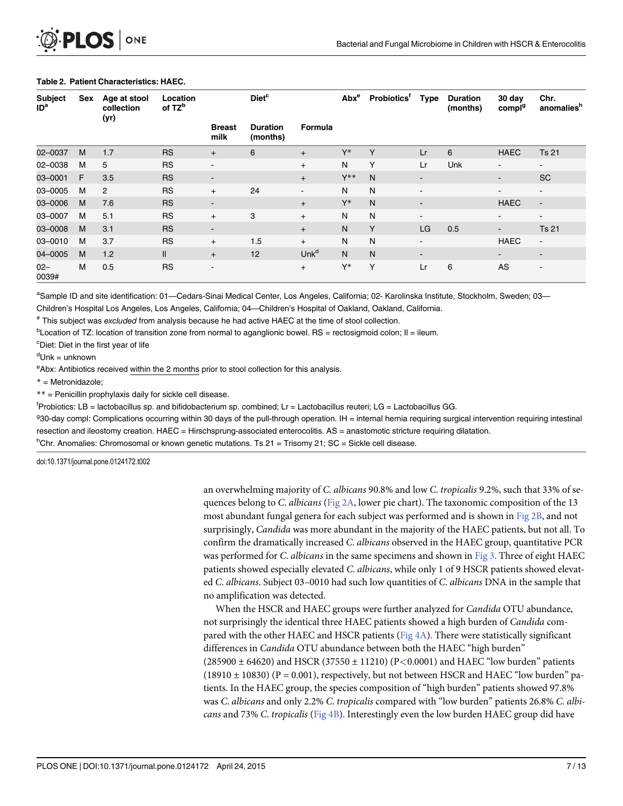<span id="page-6-0"></span>

| <b>Subject</b><br>ID <sup>a</sup> | Sex | Age at stool<br>collection<br>(yr) | Location<br>of TZ <sup>b</sup> |                          | <b>Diet<sup>c</sup></b>     |                  | $\mathsf{Abx}^\mathsf{e}$ | <b>Probiotics<sup>t</sup></b> | Type           | <b>Duration</b><br>(months) | 30 day<br>compl <sup>g</sup> | Chr.<br>anomalies <sup>h</sup> |
|-----------------------------------|-----|------------------------------------|--------------------------------|--------------------------|-----------------------------|------------------|---------------------------|-------------------------------|----------------|-----------------------------|------------------------------|--------------------------------|
|                                   |     |                                    |                                | <b>Breast</b><br>milk    | <b>Duration</b><br>(months) | Formula          |                           |                               |                |                             |                              |                                |
| 02-0037                           | M   | 1.7                                | <b>RS</b>                      | $+$                      | 6                           | $+$              | Y*                        | Y                             | Lr             | 6                           | <b>HAEC</b>                  | <b>Ts 21</b>                   |
| 02-0038                           | M   | 5                                  | <b>RS</b>                      | $\blacksquare$           |                             | $+$              | N                         | Y                             | Lr             | Unk                         | Ξ.                           | $\blacksquare$                 |
| 03-0001                           | F   | 3.5                                | <b>RS</b>                      | ۰.                       |                             | $+$              | $Y^{\ast\ast}$            | N                             | $\blacksquare$ |                             |                              | <b>SC</b>                      |
| 03-0005                           | M   | $\overline{2}$                     | <b>RS</b>                      | $+$                      | 24                          | $\blacksquare$   | N                         | N                             | $\blacksquare$ |                             |                              | $\blacksquare$                 |
| 03-0006                           | M   | 7.6                                | <b>RS</b>                      | $\overline{\phantom{a}}$ |                             | $+$              | Y*                        | N                             | $\blacksquare$ |                             | <b>HAEC</b>                  | $\blacksquare$                 |
| 03-0007                           | M   | 5.1                                | <b>RS</b>                      | $+$                      | 3                           | $+$              | N                         | N                             | $\blacksquare$ |                             | $\overline{\phantom{0}}$     | $\blacksquare$                 |
| 03-0008                           | M   | 3.1                                | <b>RS</b>                      | ٠                        |                             | $+$              | N                         | Y                             | LG             | 0.5                         | $\blacksquare$               | <b>Ts 21</b>                   |
| 03-0010                           | M   | 3.7                                | <b>RS</b>                      | $+$                      | 1.5                         | $+$              | Ν                         | Ν                             | $\blacksquare$ |                             | <b>HAEC</b>                  | $\blacksquare$                 |
| 04-0005                           | M   | 1.2                                | $\mathbf{II}$                  | $+$                      | 12                          | Unk <sup>d</sup> | N                         | N                             | ۰.             |                             | -                            | $\blacksquare$                 |
| $02 -$<br>0039#                   | M   | 0.5                                | <b>RS</b>                      | $\overline{\phantom{a}}$ |                             | $+$              | Y*                        | Y                             | Lr             | 6                           | AS                           | $\overline{\phantom{a}}$       |

#### [Table 2.](#page-4-0) Patient Characteristics: HAEC.

a<br>Sample ID and site identification: 01—Cedars-Sinai Medical Center, Los Angeles, California; 02- Karolinska Institute, Stockholm, Sweden; 03—

Children's Hospital Los Angeles, Los Angeles, California; 04—Children's Hospital of Oakland, Oakland, California.

# This subject was excluded from analysis because he had active HAEC at the time of stool collection.

<sup>b</sup>Location of TZ: location of transition zone from normal to aganglionic bowel. RS = rectosigmoid colon; Il = ileum.

<sup>c</sup>Diet: Diet in the first year of life

<sup>d</sup>Unk = unknown

eAbx: Antibiotics received within the 2 months prior to stool collection for this analysis.

\* = Metronidazole;

\*\* = Penicillin prophylaxis daily for sickle cell disease.

f Probiotics: LB = lactobacillus sp. and bifidobacterium sp. combined; Lr = Lactobacillus reuteri; LG = Lactobacillus GG.

930-day compl: Complications occurring within 30 days of the pull-through operation. IH = internal hernia requiring surgical intervention requiring intestinal resection and ileostomy creation. HAEC = Hirschsprung-associated enterocolitis. AS = anastomotic stricture requiring dilatation.

<sup>h</sup>Chr. Anomalies: Chromosomal or known genetic mutations. Ts 21 = Trisomy 21; SC = Sickle cell disease.

doi:10.1371/journal.pone.0124172.t002

an overwhelming majority of C. albicans 90.8% and low C. tropicalis 9.2%, such that 33% of sequences belong to C. albicans (Fig  $2A$ , lower pie chart). The taxonomic composition of the 13 most abundant fungal genera for each subject was performed and is shown in [Fig 2B,](#page-8-0) and not surprisingly, *Candida* was more abundant in the majority of the HAEC patients, but not all. To confirm the dramatically increased C. albicans observed in the HAEC group, quantitative PCR was performed for C. albicans in the same specimens and shown in [Fig 3](#page-9-0). Three of eight HAEC patients showed especially elevated C. albicans, while only 1 of 9 HSCR patients showed elevated C. albicans. Subject 03–0010 had such low quantities of C. albicans DNA in the sample that no amplification was detected.

When the HSCR and HAEC groups were further analyzed for *Candida* OTU abundance, not surprisingly the identical three HAEC patients showed a high burden of Candida compared with the other HAEC and HSCR patients ( $Fig 4A$ ). There were statistically significant differences in Candida OTU abundance between both the HAEC "high burden" (285900 ± 64620) and HSCR (37550 ± 11210) (P<0.0001) and HAEC "low burden" patients  $(18910 \pm 10830)$  (P = 0.001), respectively, but not between HSCR and HAEC "low burden" patients. In the HAEC group, the species composition of "high burden" patients showed 97.8% was C. albicans and only 2.2% C. tropicalis compared with "low burden" patients 26.8% C. albicans and 73% C. tropicalis ( $Fig 4B$ ). Interestingly even the low burden HAEC group did have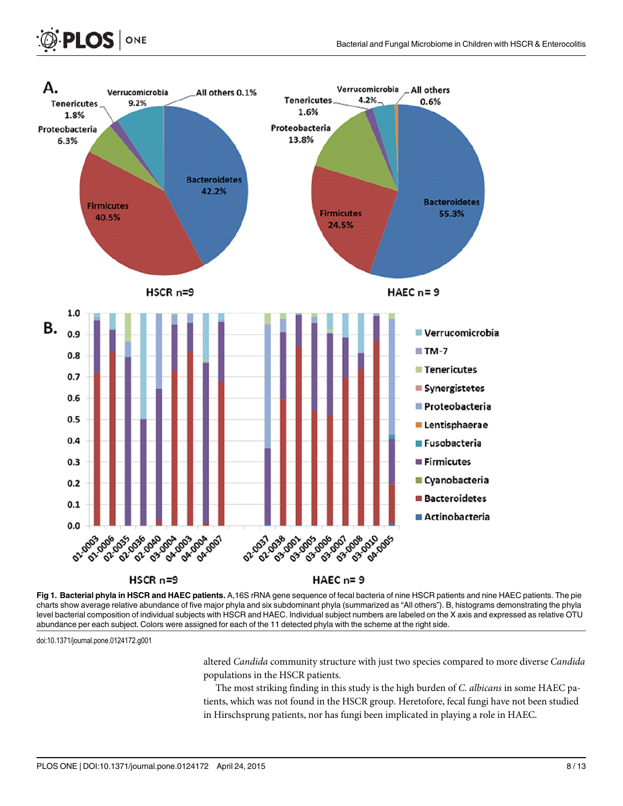

[Fig 1. B](#page-4-0)acterial phyla in HSCR and HAEC patients. A,16S rRNA gene sequence of fecal bacteria of nine HSCR patients and nine HAEC patients. The pie charts show average relative abundance of five major phyla and six subdominant phyla (summarized as "All others"). B, histograms demonstrating the phyla level bacterial composition of individual subjects with HSCR and HAEC. Individual subject numbers are labeled on the X axis and expressed as relative OTU abundance per each subject. Colors were assigned for each of the 11 detected phyla with the scheme at the right side.

doi:10.1371/journal.pone.0124172.g001

<span id="page-7-0"></span>**PLOS** ONE

altered Candida community structure with just two species compared to more diverse Candida populations in the HSCR patients.

The most striking finding in this study is the high burden of C. albicans in some HAEC patients, which was not found in the HSCR group. Heretofore, fecal fungi have not been studied in Hirschsprung patients, nor has fungi been implicated in playing a role in HAEC.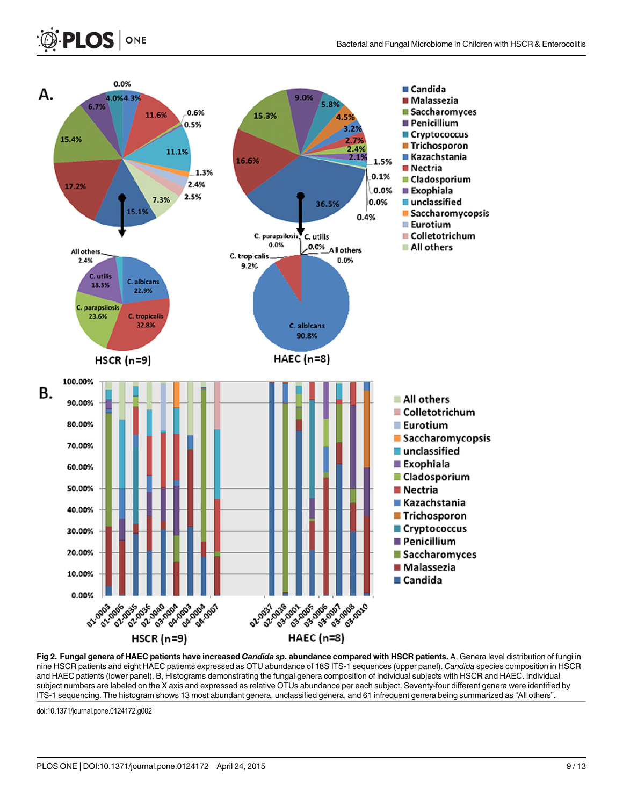<span id="page-8-0"></span>

[Fig 2. F](#page-5-0)ungal genera of HAEC patients have increased Candida sp. abundance compared with HSCR patients. A, Genera level distribution of fungi in nine HSCR patients and eight HAEC patients expressed as OTU abundance of 18S ITS-1 sequences (upper panel). Candida species composition in HSCR and HAEC patients (lower panel). B, Histograms demonstrating the fungal genera composition of individual subjects with HSCR and HAEC. Individual subject numbers are labeled on the X axis and expressed as relative OTUs abundance per each subject. Seventy-four different genera were identified by ITS-1 sequencing. The histogram shows 13 most abundant genera, unclassified genera, and 61 infrequent genera being summarized as "All others".

doi:10.1371/journal.pone.0124172.g002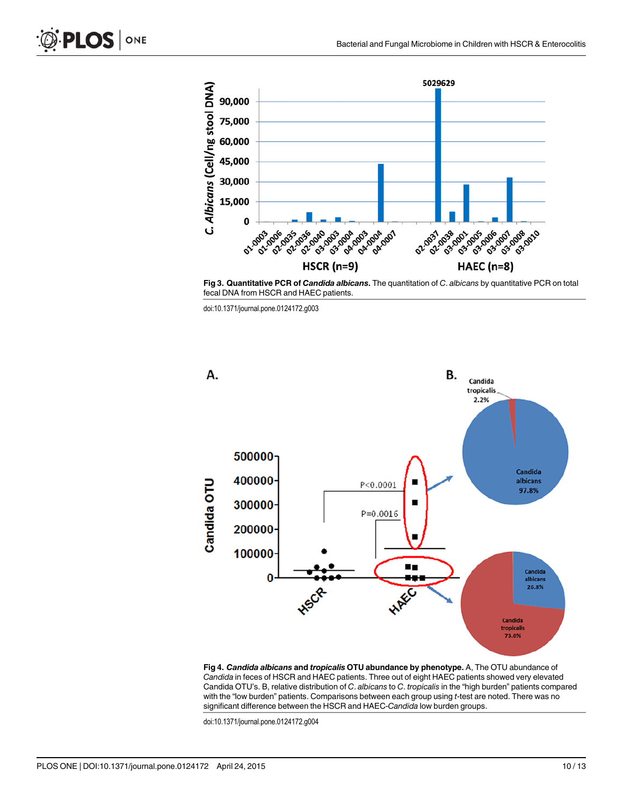<span id="page-9-0"></span>



[Fig 3. Q](#page-6-0)uantitative PCR of Candida albicans. The quantitation of C. albicans by quantitative PCR on total fecal DNA from HSCR and HAEC patients.

doi:10.1371/journal.pone.0124172.g003



[Fig 4.](#page-6-0) Candida albicans and tropicalis OTU abundance by phenotype. A, The OTU abundance of Candida in feces of HSCR and HAEC patients. Three out of eight HAEC patients showed very elevated Candida OTU's. B, relative distribution of C. albicans to C. tropicalis in the "high burden" patients compared with the "low burden" patients. Comparisons between each group using t-test are noted. There was no significant difference between the HSCR and HAEC-Candida low burden groups.

doi:10.1371/journal.pone.0124172.g004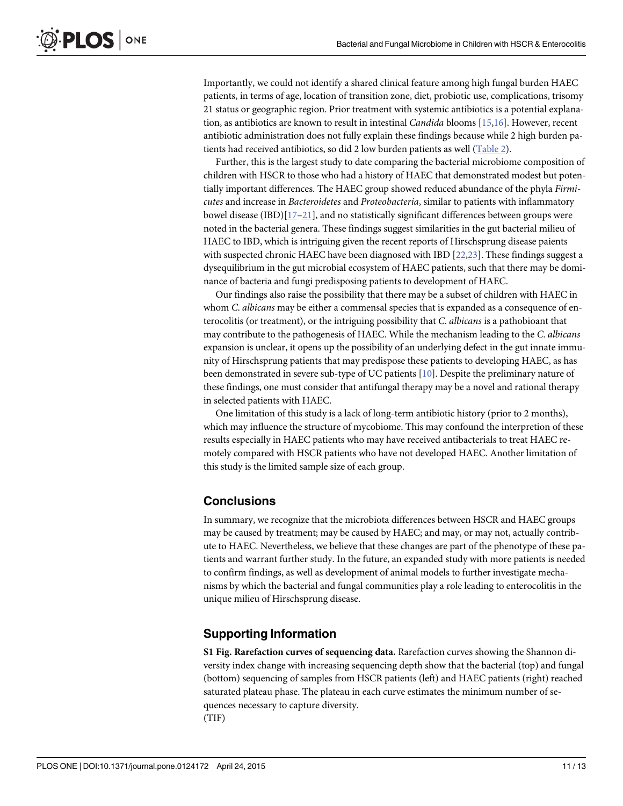<span id="page-10-0"></span>Importantly, we could not identify a shared clinical feature among high fungal burden HAEC patients, in terms of age, location of transition zone, diet, probiotic use, complications, trisomy 21 status or geographic region. Prior treatment with systemic antibiotics is a potential explanation, as antibiotics are known to result in intestinal Candida blooms [[15,16\]](#page-12-0). However, recent antibiotic administration does not fully explain these findings because while 2 high burden patients had received antibiotics, so did 2 low burden patients as well ([Table 2](#page-6-0)).

Further, this is the largest study to date comparing the bacterial microbiome composition of children with HSCR to those who had a history of HAEC that demonstrated modest but potentially important differences. The HAEC group showed reduced abundance of the phyla Firmicutes and increase in Bacteroidetes and Proteobacteria, similar to patients with inflammatory bowel disease (IBD)[[17](#page-12-0)–[21\]](#page-12-0), and no statistically significant differences between groups were noted in the bacterial genera. These findings suggest similarities in the gut bacterial milieu of HAEC to IBD, which is intriguing given the recent reports of Hirschsprung disease paients with suspected chronic HAEC have been diagnosed with IBD [\[22,23\]](#page-12-0). These findings suggest a dysequilibrium in the gut microbial ecosystem of HAEC patients, such that there may be dominance of bacteria and fungi predisposing patients to development of HAEC.

Our findings also raise the possibility that there may be a subset of children with HAEC in whom C. albicans may be either a commensal species that is expanded as a consequence of enterocolitis (or treatment), or the intriguing possibility that C. albicans is a pathobioant that may contribute to the pathogenesis of HAEC. While the mechanism leading to the C. albicans expansion is unclear, it opens up the possibility of an underlying defect in the gut innate immunity of Hirschsprung patients that may predispose these patients to developing HAEC, as has been demonstrated in severe sub-type of UC patients [[10\]](#page-12-0). Despite the preliminary nature of these findings, one must consider that antifungal therapy may be a novel and rational therapy in selected patients with HAEC.

One limitation of this study is a lack of long-term antibiotic history (prior to 2 months), which may influence the structure of mycobiome. This may confound the interpretion of these results especially in HAEC patients who may have received antibacterials to treat HAEC remotely compared with HSCR patients who have not developed HAEC. Another limitation of this study is the limited sample size of each group.

#### **Conclusions**

In summary, we recognize that the microbiota differences between HSCR and HAEC groups may be caused by treatment; may be caused by HAEC; and may, or may not, actually contribute to HAEC. Nevertheless, we believe that these changes are part of the phenotype of these patients and warrant further study. In the future, an expanded study with more patients is needed to confirm findings, as well as development of animal models to further investigate mechanisms by which the bacterial and fungal communities play a role leading to enterocolitis in the unique milieu of Hirschsprung disease.

#### Supporting Information

[S1 Fig.](http://www.plosone.org/article/fetchSingleRepresentation.action?uri=info:doi/10.1371/journal.pone.0124172.s001) Rarefaction curves of sequencing data. Rarefaction curves showing the Shannon diversity index change with increasing sequencing depth show that the bacterial (top) and fungal (bottom) sequencing of samples from HSCR patients (left) and HAEC patients (right) reached saturated plateau phase. The plateau in each curve estimates the minimum number of sequences necessary to capture diversity. (TIF)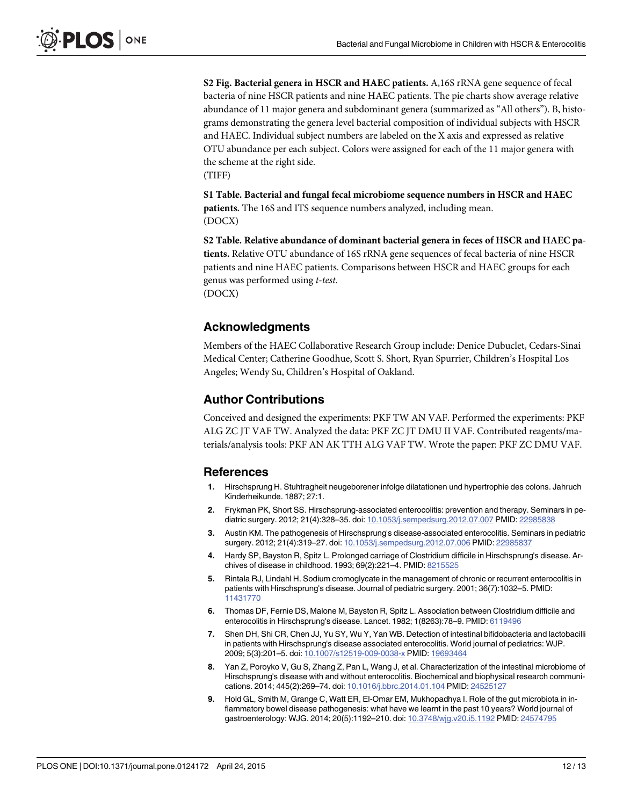<span id="page-11-0"></span>[S2 Fig.](http://www.plosone.org/article/fetchSingleRepresentation.action?uri=info:doi/10.1371/journal.pone.0124172.s002) Bacterial genera in HSCR and HAEC patients. A,16S rRNA gene sequence of fecal bacteria of nine HSCR patients and nine HAEC patients. The pie charts show average relative abundance of 11 major genera and subdominant genera (summarized as "All others"). B, histograms demonstrating the genera level bacterial composition of individual subjects with HSCR and HAEC. Individual subject numbers are labeled on the X axis and expressed as relative OTU abundance per each subject. Colors were assigned for each of the 11 major genera with the scheme at the right side. (TIFF)

[S1 Table](http://www.plosone.org/article/fetchSingleRepresentation.action?uri=info:doi/10.1371/journal.pone.0124172.s003). Bacterial and fungal fecal microbiome sequence numbers in HSCR and HAEC patients. The 16S and ITS sequence numbers analyzed, including mean. (DOCX)

[S2 Table](http://www.plosone.org/article/fetchSingleRepresentation.action?uri=info:doi/10.1371/journal.pone.0124172.s004). Relative abundance of dominant bacterial genera in feces of HSCR and HAEC patients. Relative OTU abundance of 16S rRNA gene sequences of fecal bacteria of nine HSCR patients and nine HAEC patients. Comparisons between HSCR and HAEC groups for each genus was performed using t-test. (DOCX)

#### Acknowledgments

Members of the HAEC Collaborative Research Group include: Denice Dubuclet, Cedars-Sinai Medical Center; Catherine Goodhue, Scott S. Short, Ryan Spurrier, Children's Hospital Los Angeles; Wendy Su, Children's Hospital of Oakland.

#### Author Contributions

Conceived and designed the experiments: PKF TW AN VAF. Performed the experiments: PKF ALG ZC JT VAF TW. Analyzed the data: PKF ZC JT DMU II VAF. Contributed reagents/materials/analysis tools: PKF AN AK TTH ALG VAF TW. Wrote the paper: PKF ZC DMU VAF.

#### References

- [1.](#page-1-0) Hirschsprung H. Stuhtragheit neugeborener infolge dilatationen und hypertrophie des colons. Jahruch Kinderheikunde. 1887; 27:1.
- [2.](#page-1-0) Frykman PK, Short SS. Hirschsprung-associated enterocolitis: prevention and therapy. Seminars in pediatric surgery. 2012; 21(4):328–35. doi: [10.1053/j.sempedsurg.2012.07.007](http://dx.doi.org/10.1053/j.sempedsurg.2012.07.007) PMID: [22985838](http://www.ncbi.nlm.nih.gov/pubmed/22985838)
- [3.](#page-1-0) Austin KM. The pathogenesis of Hirschsprung's disease-associated enterocolitis. Seminars in pediatric surgery. 2012; 21(4):319–27. doi: [10.1053/j.sempedsurg.2012.07.006](http://dx.doi.org/10.1053/j.sempedsurg.2012.07.006) PMID: [22985837](http://www.ncbi.nlm.nih.gov/pubmed/22985837)
- [4.](#page-1-0) Hardy SP, Bayston R, Spitz L. Prolonged carriage of Clostridium difficile in Hirschsprung's disease. Archives of disease in childhood. 1993; 69(2):221–4. PMID: [8215525](http://www.ncbi.nlm.nih.gov/pubmed/8215525)
- 5. Rintala RJ, Lindahl H. Sodium cromoglycate in the management of chronic or recurrent enterocolitis in patients with Hirschsprung's disease. Journal of pediatric surgery. 2001; 36(7):1032–5. PMID: [11431770](http://www.ncbi.nlm.nih.gov/pubmed/11431770)
- [6.](#page-1-0) Thomas DF, Fernie DS, Malone M, Bayston R, Spitz L. Association between Clostridium difficile and enterocolitis in Hirschsprung's disease. Lancet. 1982; 1(8263):78–9. PMID: [6119496](http://www.ncbi.nlm.nih.gov/pubmed/6119496)
- [7.](#page-1-0) Shen DH, Shi CR, Chen JJ, Yu SY, Wu Y, Yan WB. Detection of intestinal bifidobacteria and lactobacilli in patients with Hirschsprung's disease associated enterocolitis. World journal of pediatrics: WJP. 2009; 5(3):201–5. doi: [10.1007/s12519-009-0038-x](http://dx.doi.org/10.1007/s12519-009-0038-x) PMID: [19693464](http://www.ncbi.nlm.nih.gov/pubmed/19693464)
- [8.](#page-1-0) Yan Z, Poroyko V, Gu S, Zhang Z, Pan L, Wang J, et al. Characterization of the intestinal microbiome of Hirschsprung's disease with and without enterocolitis. Biochemical and biophysical research communications. 2014; 445(2):269–74. doi: [10.1016/j.bbrc.2014.01.104](http://dx.doi.org/10.1016/j.bbrc.2014.01.104) PMID: [24525127](http://www.ncbi.nlm.nih.gov/pubmed/24525127)
- [9.](#page-1-0) Hold GL, Smith M, Grange C, Watt ER, El-Omar EM, Mukhopadhya I. Role of the gut microbiota in inflammatory bowel disease pathogenesis: what have we learnt in the past 10 years? World journal of gastroenterology: WJG. 2014; 20(5):1192–210. doi: [10.3748/wjg.v20.i5.1192](http://dx.doi.org/10.3748/wjg.v20.i5.1192) PMID: [24574795](http://www.ncbi.nlm.nih.gov/pubmed/24574795)